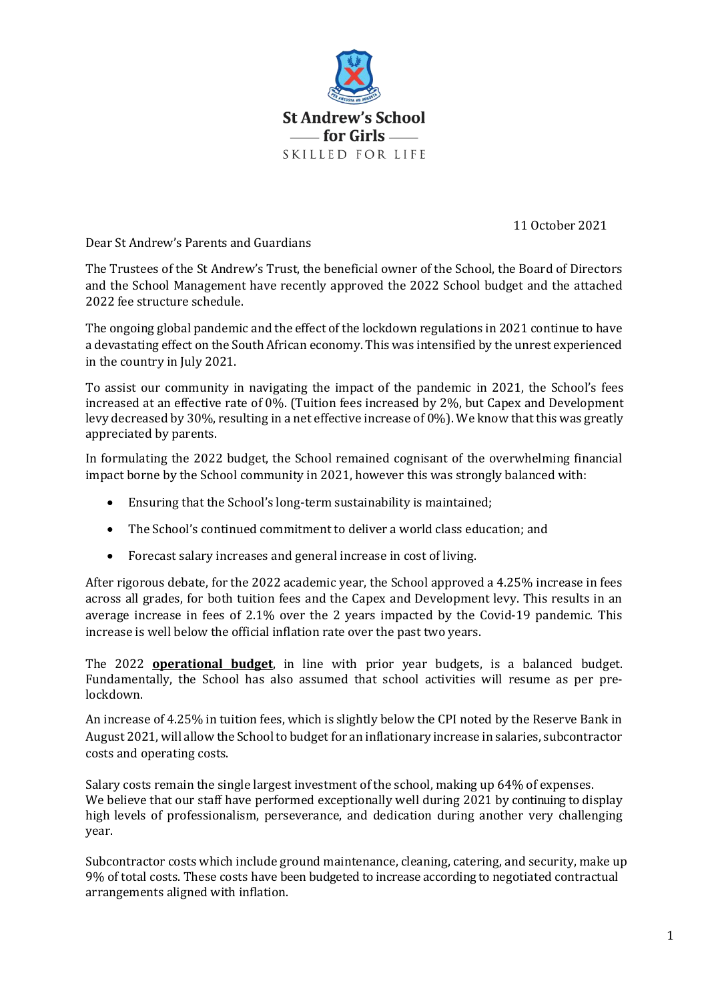

11 October 2021

Dear St Andrew's Parents and Guardians

The Trustees of the St Andrew's Trust, the beneficial owner of the School, the Board of Directors and the School Management have recently approved the 2022 School budget and the attached 2022 fee structure schedule.

The ongoing global pandemic and the effect of the lockdown regulations in 2021 continue to have a devastating effect on the South African economy. This was intensified by the unrest experienced in the country in July 2021.

To assist our community in navigating the impact of the pandemic in 2021, the School's fees increased at an effective rate of 0%. (Tuition fees increased by 2%, but Capex and Development levy decreased by 30%, resulting in a net effective increase of 0%). We know that this was greatly appreciated by parents.

In formulating the 2022 budget, the School remained cognisant of the overwhelming financial impact borne by the School community in 2021, however this was strongly balanced with:

- Ensuring that the School's long-term sustainability is maintained;
- The School's continued commitment to deliver a world class education; and
- Forecast salary increases and general increase in cost of living.

After rigorous debate, for the 2022 academic year, the School approved a 4.25% increase in fees across all grades, for both tuition fees and the Capex and Development levy. This results in an average increase in fees of 2.1% over the 2 years impacted by the Covid-19 pandemic. This increase is well below the official inflation rate over the past two years.

The 2022 **operational budget**, in line with prior year budgets, is a balanced budget. Fundamentally, the School has also assumed that school activities will resume as per prelockdown.

An increase of 4.25% in tuition fees, which is slightly below the CPI noted by the Reserve Bank in August 2021, will allow the School to budget for an inflationary increase in salaries, subcontractor costs and operating costs.

Salary costs remain the single largest investment of the school, making up 64% of expenses. We believe that our staff have performed exceptionally well during 2021 by continuing to display high levels of professionalism, perseverance, and dedication during another very challenging year.

Subcontractor costs which include ground maintenance, cleaning, catering, and security, make up 9% of total costs. These costs have been budgeted to increase according to negotiated contractual arrangements aligned with inflation.